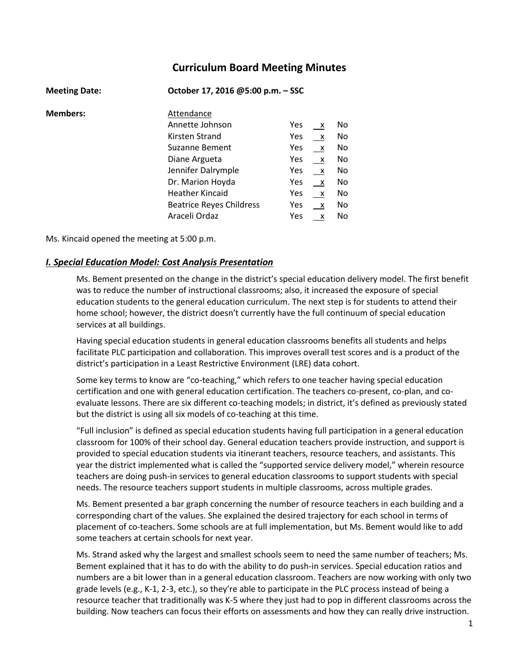# **Curriculum Board Meeting Minutes**

| <b>Meeting Date:</b> | October 17, 2016 @5:00 p.m. - SSC |            |              |     |
|----------------------|-----------------------------------|------------|--------------|-----|
| <b>Members:</b>      | Attendance                        |            |              |     |
|                      | Annette Johnson                   | <b>Yes</b> | $\mathsf{X}$ | No. |
|                      | Kirsten Strand                    | Yes        | $\mathsf{X}$ | No. |
|                      | Suzanne Bement                    | Yes        | $\mathsf{X}$ | No  |
|                      | Diane Argueta                     | Yes        | $\mathsf{X}$ | No. |
|                      | Jennifer Dalrymple                | Yes        | $\mathsf{X}$ | No. |
|                      | Dr. Marion Hoyda                  | Yes        | $\mathsf{X}$ | No  |
|                      | <b>Heather Kincaid</b>            | Yes        | $\mathsf{X}$ | No  |
|                      | <b>Beatrice Reyes Childress</b>   | Yes        | $\mathsf{X}$ | No  |
|                      | Araceli Ordaz                     | Yes        | X            | No  |

#### Ms. Kincaid opened the meeting at 5:00 p.m.

## *I. Special Education Model: Cost Analysis Presentation*

Ms. Bement presented on the change in the district's special education delivery model. The first benefit was to reduce the number of instructional classrooms; also, it increased the exposure of special education students to the general education curriculum. The next step is for students to attend their home school; however, the district doesn't currently have the full continuum of special education services at all buildings.

Having special education students in general education classrooms benefits all students and helps facilitate PLC participation and collaboration. This improves overall test scores and is a product of the district's participation in a Least Restrictive Environment (LRE) data cohort.

Some key terms to know are "co-teaching," which refers to one teacher having special education certification and one with general education certification. The teachers co-present, co-plan, and coevaluate lessons. There are six different co-teaching models; in district, it's defined as previously stated but the district is using all six models of co-teaching at this time.

"Full inclusion" is defined as special education students having full participation in a general education classroom for 100% of their school day. General education teachers provide instruction, and support is provided to special education students via itinerant teachers, resource teachers, and assistants. This year the district implemented what is called the "supported service delivery model," wherein resource teachers are doing push-in services to general education classrooms to support students with special needs. The resource teachers support students in multiple classrooms, across multiple grades.

Ms. Bement presented a bar graph concerning the number of resource teachers in each building and a corresponding chart of the values. She explained the desired trajectory for each school in terms of placement of co-teachers. Some schools are at full implementation, but Ms. Bement would like to add some teachers at certain schools for next year.

Ms. Strand asked why the largest and smallest schools seem to need the same number of teachers; Ms. Bement explained that it has to do with the ability to do push-in services. Special education ratios and numbers are a bit lower than in a general education classroom. Teachers are now working with only two grade levels (e.g., K-1, 2-3, etc.), so they're able to participate in the PLC process instead of being a resource teacher that traditionally was K-5 where they just had to pop in different classrooms across the building. Now teachers can focus their efforts on assessments and how they can really drive instruction.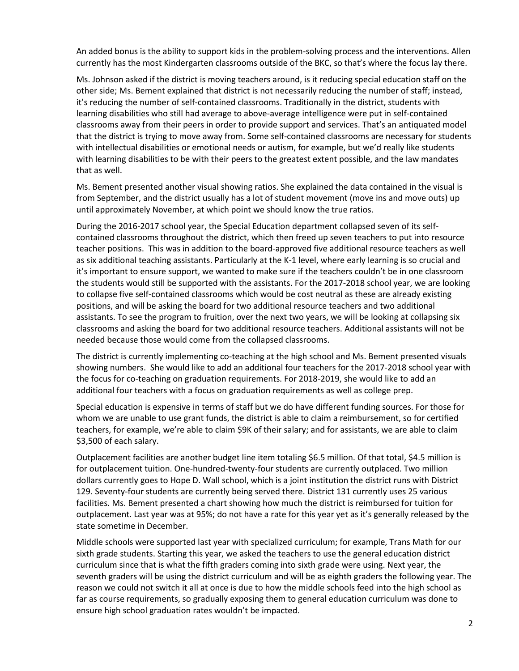An added bonus is the ability to support kids in the problem-solving process and the interventions. Allen currently has the most Kindergarten classrooms outside of the BKC, so that's where the focus lay there.

Ms. Johnson asked if the district is moving teachers around, is it reducing special education staff on the other side; Ms. Bement explained that district is not necessarily reducing the number of staff; instead, it's reducing the number of self-contained classrooms. Traditionally in the district, students with learning disabilities who still had average to above-average intelligence were put in self-contained classrooms away from their peers in order to provide support and services. That's an antiquated model that the district is trying to move away from. Some self-contained classrooms are necessary for students with intellectual disabilities or emotional needs or autism, for example, but we'd really like students with learning disabilities to be with their peers to the greatest extent possible, and the law mandates that as well.

Ms. Bement presented another visual showing ratios. She explained the data contained in the visual is from September, and the district usually has a lot of student movement (move ins and move outs) up until approximately November, at which point we should know the true ratios.

During the 2016-2017 school year, the Special Education department collapsed seven of its selfcontained classrooms throughout the district, which then freed up seven teachers to put into resource teacher positions. This was in addition to the board-approved five additional resource teachers as well as six additional teaching assistants. Particularly at the K-1 level, where early learning is so crucial and it's important to ensure support, we wanted to make sure if the teachers couldn't be in one classroom the students would still be supported with the assistants. For the 2017-2018 school year, we are looking to collapse five self-contained classrooms which would be cost neutral as these are already existing positions, and will be asking the board for two additional resource teachers and two additional assistants. To see the program to fruition, over the next two years, we will be looking at collapsing six classrooms and asking the board for two additional resource teachers. Additional assistants will not be needed because those would come from the collapsed classrooms.

The district is currently implementing co-teaching at the high school and Ms. Bement presented visuals showing numbers. She would like to add an additional four teachers for the 2017-2018 school year with the focus for co-teaching on graduation requirements. For 2018-2019, she would like to add an additional four teachers with a focus on graduation requirements as well as college prep.

Special education is expensive in terms of staff but we do have different funding sources. For those for whom we are unable to use grant funds, the district is able to claim a reimbursement, so for certified teachers, for example, we're able to claim \$9K of their salary; and for assistants, we are able to claim \$3,500 of each salary.

Outplacement facilities are another budget line item totaling \$6.5 million. Of that total, \$4.5 million is for outplacement tuition. One-hundred-twenty-four students are currently outplaced. Two million dollars currently goes to Hope D. Wall school, which is a joint institution the district runs with District 129. Seventy-four students are currently being served there. District 131 currently uses 25 various facilities. Ms. Bement presented a chart showing how much the district is reimbursed for tuition for outplacement. Last year was at 95%; do not have a rate for this year yet as it's generally released by the state sometime in December.

Middle schools were supported last year with specialized curriculum; for example, Trans Math for our sixth grade students. Starting this year, we asked the teachers to use the general education district curriculum since that is what the fifth graders coming into sixth grade were using. Next year, the seventh graders will be using the district curriculum and will be as eighth graders the following year. The reason we could not switch it all at once is due to how the middle schools feed into the high school as far as course requirements, so gradually exposing them to general education curriculum was done to ensure high school graduation rates wouldn't be impacted.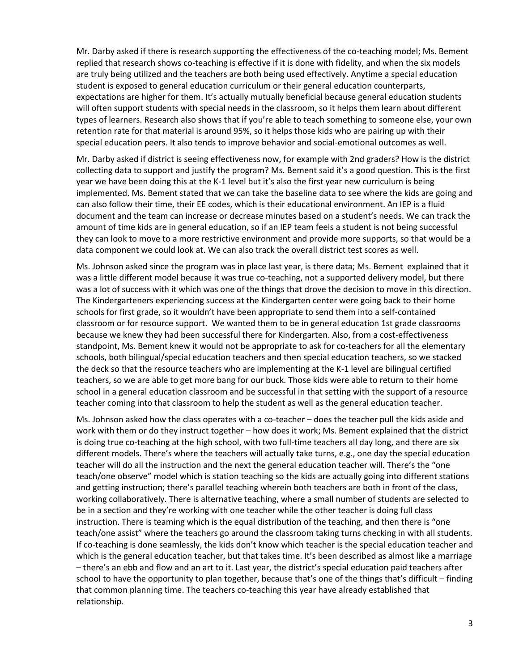Mr. Darby asked if there is research supporting the effectiveness of the co-teaching model; Ms. Bement replied that research shows co-teaching is effective if it is done with fidelity, and when the six models are truly being utilized and the teachers are both being used effectively. Anytime a special education student is exposed to general education curriculum or their general education counterparts, expectations are higher for them. It's actually mutually beneficial because general education students will often support students with special needs in the classroom, so it helps them learn about different types of learners. Research also shows that if you're able to teach something to someone else, your own retention rate for that material is around 95%, so it helps those kids who are pairing up with their special education peers. It also tends to improve behavior and social-emotional outcomes as well.

Mr. Darby asked if district is seeing effectiveness now, for example with 2nd graders? How is the district collecting data to support and justify the program? Ms. Bement said it's a good question. This is the first year we have been doing this at the K-1 level but it's also the first year new curriculum is being implemented. Ms. Bement stated that we can take the baseline data to see where the kids are going and can also follow their time, their EE codes, which is their educational environment. An IEP is a fluid document and the team can increase or decrease minutes based on a student's needs. We can track the amount of time kids are in general education, so if an IEP team feels a student is not being successful they can look to move to a more restrictive environment and provide more supports, so that would be a data component we could look at. We can also track the overall district test scores as well.

Ms. Johnson asked since the program was in place last year, is there data; Ms. Bement explained that it was a little different model because it was true co-teaching, not a supported delivery model, but there was a lot of success with it which was one of the things that drove the decision to move in this direction. The Kindergarteners experiencing success at the Kindergarten center were going back to their home schools for first grade, so it wouldn't have been appropriate to send them into a self-contained classroom or for resource support. We wanted them to be in general education 1st grade classrooms because we knew they had been successful there for Kindergarten. Also, from a cost-effectiveness standpoint, Ms. Bement knew it would not be appropriate to ask for co-teachers for all the elementary schools, both bilingual/special education teachers and then special education teachers, so we stacked the deck so that the resource teachers who are implementing at the K-1 level are bilingual certified teachers, so we are able to get more bang for our buck. Those kids were able to return to their home school in a general education classroom and be successful in that setting with the support of a resource teacher coming into that classroom to help the student as well as the general education teacher.

Ms. Johnson asked how the class operates with a co-teacher – does the teacher pull the kids aside and work with them or do they instruct together – how does it work; Ms. Bement explained that the district is doing true co-teaching at the high school, with two full-time teachers all day long, and there are six different models. There's where the teachers will actually take turns, e.g., one day the special education teacher will do all the instruction and the next the general education teacher will. There's the "one teach/one observe" model which is station teaching so the kids are actually going into different stations and getting instruction; there's parallel teaching wherein both teachers are both in front of the class, working collaboratively. There is alternative teaching, where a small number of students are selected to be in a section and they're working with one teacher while the other teacher is doing full class instruction. There is teaming which is the equal distribution of the teaching, and then there is "one teach/one assist" where the teachers go around the classroom taking turns checking in with all students. If co-teaching is done seamlessly, the kids don't know which teacher is the special education teacher and which is the general education teacher, but that takes time. It's been described as almost like a marriage – there's an ebb and flow and an art to it. Last year, the district's special education paid teachers after school to have the opportunity to plan together, because that's one of the things that's difficult – finding that common planning time. The teachers co-teaching this year have already established that relationship.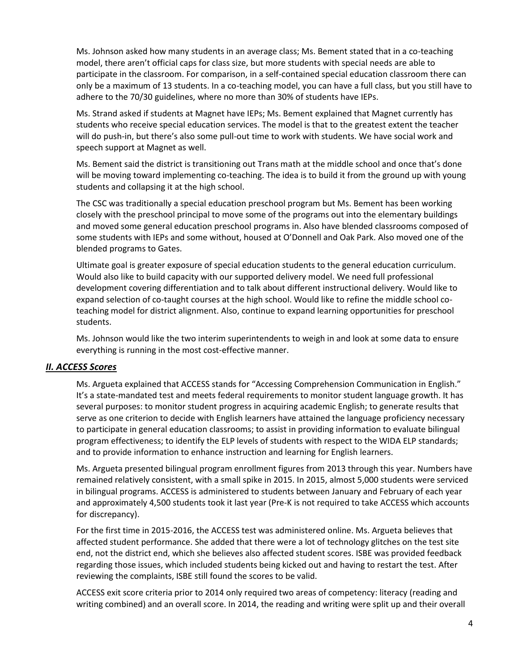Ms. Johnson asked how many students in an average class; Ms. Bement stated that in a co-teaching model, there aren't official caps for class size, but more students with special needs are able to participate in the classroom. For comparison, in a self-contained special education classroom there can only be a maximum of 13 students. In a co-teaching model, you can have a full class, but you still have to adhere to the 70/30 guidelines, where no more than 30% of students have IEPs.

Ms. Strand asked if students at Magnet have IEPs; Ms. Bement explained that Magnet currently has students who receive special education services. The model is that to the greatest extent the teacher will do push-in, but there's also some pull-out time to work with students. We have social work and speech support at Magnet as well.

Ms. Bement said the district is transitioning out Trans math at the middle school and once that's done will be moving toward implementing co-teaching. The idea is to build it from the ground up with young students and collapsing it at the high school.

The CSC was traditionally a special education preschool program but Ms. Bement has been working closely with the preschool principal to move some of the programs out into the elementary buildings and moved some general education preschool programs in. Also have blended classrooms composed of some students with IEPs and some without, housed at O'Donnell and Oak Park. Also moved one of the blended programs to Gates.

Ultimate goal is greater exposure of special education students to the general education curriculum. Would also like to build capacity with our supported delivery model. We need full professional development covering differentiation and to talk about different instructional delivery. Would like to expand selection of co-taught courses at the high school. Would like to refine the middle school coteaching model for district alignment. Also, continue to expand learning opportunities for preschool students.

Ms. Johnson would like the two interim superintendents to weigh in and look at some data to ensure everything is running in the most cost-effective manner.

## *II. ACCESS Scores*

Ms. Argueta explained that ACCESS stands for "Accessing Comprehension Communication in English." It's a state-mandated test and meets federal requirements to monitor student language growth. It has several purposes: to monitor student progress in acquiring academic English; to generate results that serve as one criterion to decide with English learners have attained the language proficiency necessary to participate in general education classrooms; to assist in providing information to evaluate bilingual program effectiveness; to identify the ELP levels of students with respect to the WIDA ELP standards; and to provide information to enhance instruction and learning for English learners.

Ms. Argueta presented bilingual program enrollment figures from 2013 through this year. Numbers have remained relatively consistent, with a small spike in 2015. In 2015, almost 5,000 students were serviced in bilingual programs. ACCESS is administered to students between January and February of each year and approximately 4,500 students took it last year (Pre-K is not required to take ACCESS which accounts for discrepancy).

For the first time in 2015-2016, the ACCESS test was administered online. Ms. Argueta believes that affected student performance. She added that there were a lot of technology glitches on the test site end, not the district end, which she believes also affected student scores. ISBE was provided feedback regarding those issues, which included students being kicked out and having to restart the test. After reviewing the complaints, ISBE still found the scores to be valid.

ACCESS exit score criteria prior to 2014 only required two areas of competency: literacy (reading and writing combined) and an overall score. In 2014, the reading and writing were split up and their overall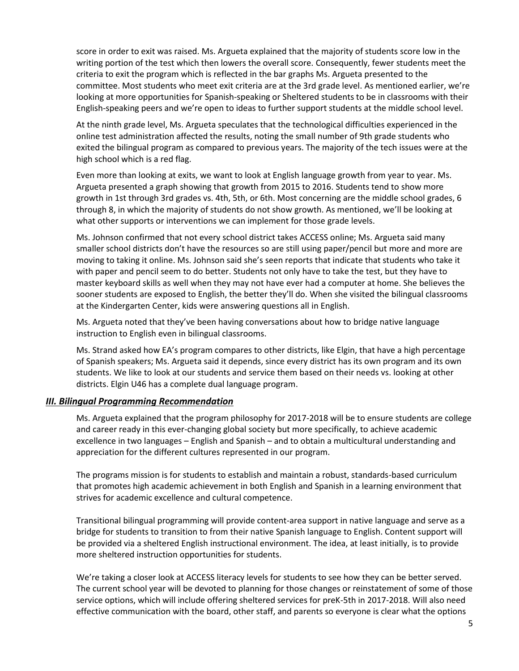score in order to exit was raised. Ms. Argueta explained that the majority of students score low in the writing portion of the test which then lowers the overall score. Consequently, fewer students meet the criteria to exit the program which is reflected in the bar graphs Ms. Argueta presented to the committee. Most students who meet exit criteria are at the 3rd grade level. As mentioned earlier, we're looking at more opportunities for Spanish-speaking or Sheltered students to be in classrooms with their English-speaking peers and we're open to ideas to further support students at the middle school level.

At the ninth grade level, Ms. Argueta speculates that the technological difficulties experienced in the online test administration affected the results, noting the small number of 9th grade students who exited the bilingual program as compared to previous years. The majority of the tech issues were at the high school which is a red flag.

Even more than looking at exits, we want to look at English language growth from year to year. Ms. Argueta presented a graph showing that growth from 2015 to 2016. Students tend to show more growth in 1st through 3rd grades vs. 4th, 5th, or 6th. Most concerning are the middle school grades, 6 through 8, in which the majority of students do not show growth. As mentioned, we'll be looking at what other supports or interventions we can implement for those grade levels.

Ms. Johnson confirmed that not every school district takes ACCESS online; Ms. Argueta said many smaller school districts don't have the resources so are still using paper/pencil but more and more are moving to taking it online. Ms. Johnson said she's seen reports that indicate that students who take it with paper and pencil seem to do better. Students not only have to take the test, but they have to master keyboard skills as well when they may not have ever had a computer at home. She believes the sooner students are exposed to English, the better they'll do. When she visited the bilingual classrooms at the Kindergarten Center, kids were answering questions all in English.

Ms. Argueta noted that they've been having conversations about how to bridge native language instruction to English even in bilingual classrooms.

Ms. Strand asked how EA's program compares to other districts, like Elgin, that have a high percentage of Spanish speakers; Ms. Argueta said it depends, since every district has its own program and its own students. We like to look at our students and service them based on their needs vs. looking at other districts. Elgin U46 has a complete dual language program.

## *III. Bilingual Programming Recommendation*

Ms. Argueta explained that the program philosophy for 2017-2018 will be to ensure students are college and career ready in this ever-changing global society but more specifically, to achieve academic excellence in two languages – English and Spanish – and to obtain a multicultural understanding and appreciation for the different cultures represented in our program.

The programs mission is for students to establish and maintain a robust, standards-based curriculum that promotes high academic achievement in both English and Spanish in a learning environment that strives for academic excellence and cultural competence.

Transitional bilingual programming will provide content-area support in native language and serve as a bridge for students to transition to from their native Spanish language to English. Content support will be provided via a sheltered English instructional environment. The idea, at least initially, is to provide more sheltered instruction opportunities for students.

We're taking a closer look at ACCESS literacy levels for students to see how they can be better served. The current school year will be devoted to planning for those changes or reinstatement of some of those service options, which will include offering sheltered services for preK-5th in 2017-2018. Will also need effective communication with the board, other staff, and parents so everyone is clear what the options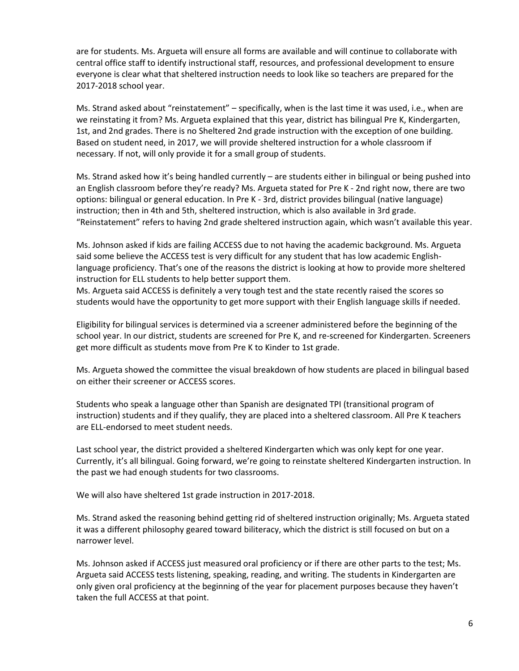are for students. Ms. Argueta will ensure all forms are available and will continue to collaborate with central office staff to identify instructional staff, resources, and professional development to ensure everyone is clear what that sheltered instruction needs to look like so teachers are prepared for the 2017-2018 school year.

Ms. Strand asked about "reinstatement" – specifically, when is the last time it was used, i.e., when are we reinstating it from? Ms. Argueta explained that this year, district has bilingual Pre K, Kindergarten, 1st, and 2nd grades. There is no Sheltered 2nd grade instruction with the exception of one building. Based on student need, in 2017, we will provide sheltered instruction for a whole classroom if necessary. If not, will only provide it for a small group of students.

Ms. Strand asked how it's being handled currently – are students either in bilingual or being pushed into an English classroom before they're ready? Ms. Argueta stated for Pre K - 2nd right now, there are two options: bilingual or general education. In Pre K - 3rd, district provides bilingual (native language) instruction; then in 4th and 5th, sheltered instruction, which is also available in 3rd grade. "Reinstatement" refers to having 2nd grade sheltered instruction again, which wasn't available this year.

Ms. Johnson asked if kids are failing ACCESS due to not having the academic background. Ms. Argueta said some believe the ACCESS test is very difficult for any student that has low academic Englishlanguage proficiency. That's one of the reasons the district is looking at how to provide more sheltered instruction for ELL students to help better support them.

Ms. Argueta said ACCESS is definitely a very tough test and the state recently raised the scores so students would have the opportunity to get more support with their English language skills if needed.

Eligibility for bilingual services is determined via a screener administered before the beginning of the school year. In our district, students are screened for Pre K, and re-screened for Kindergarten. Screeners get more difficult as students move from Pre K to Kinder to 1st grade.

Ms. Argueta showed the committee the visual breakdown of how students are placed in bilingual based on either their screener or ACCESS scores.

Students who speak a language other than Spanish are designated TPI (transitional program of instruction) students and if they qualify, they are placed into a sheltered classroom. All Pre K teachers are ELL-endorsed to meet student needs.

Last school year, the district provided a sheltered Kindergarten which was only kept for one year. Currently, it's all bilingual. Going forward, we're going to reinstate sheltered Kindergarten instruction. In the past we had enough students for two classrooms.

We will also have sheltered 1st grade instruction in 2017-2018.

Ms. Strand asked the reasoning behind getting rid of sheltered instruction originally; Ms. Argueta stated it was a different philosophy geared toward biliteracy, which the district is still focused on but on a narrower level.

Ms. Johnson asked if ACCESS just measured oral proficiency or if there are other parts to the test; Ms. Argueta said ACCESS tests listening, speaking, reading, and writing. The students in Kindergarten are only given oral proficiency at the beginning of the year for placement purposes because they haven't taken the full ACCESS at that point.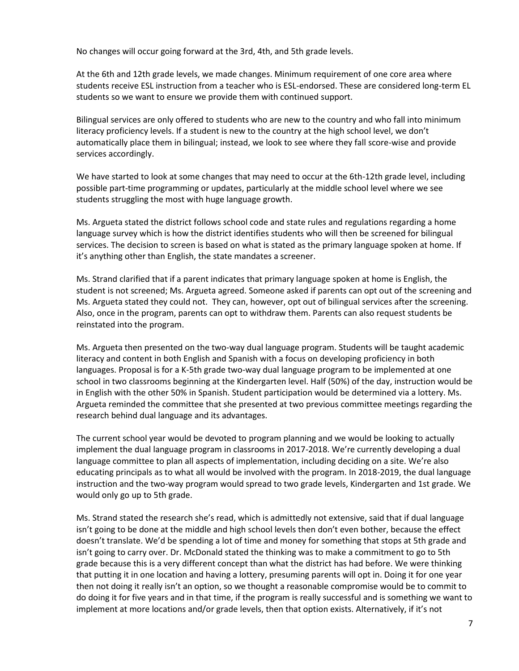No changes will occur going forward at the 3rd, 4th, and 5th grade levels.

At the 6th and 12th grade levels, we made changes. Minimum requirement of one core area where students receive ESL instruction from a teacher who is ESL-endorsed. These are considered long-term EL students so we want to ensure we provide them with continued support.

Bilingual services are only offered to students who are new to the country and who fall into minimum literacy proficiency levels. If a student is new to the country at the high school level, we don't automatically place them in bilingual; instead, we look to see where they fall score-wise and provide services accordingly.

We have started to look at some changes that may need to occur at the 6th-12th grade level, including possible part-time programming or updates, particularly at the middle school level where we see students struggling the most with huge language growth.

Ms. Argueta stated the district follows school code and state rules and regulations regarding a home language survey which is how the district identifies students who will then be screened for bilingual services. The decision to screen is based on what is stated as the primary language spoken at home. If it's anything other than English, the state mandates a screener.

Ms. Strand clarified that if a parent indicates that primary language spoken at home is English, the student is not screened; Ms. Argueta agreed. Someone asked if parents can opt out of the screening and Ms. Argueta stated they could not. They can, however, opt out of bilingual services after the screening. Also, once in the program, parents can opt to withdraw them. Parents can also request students be reinstated into the program.

Ms. Argueta then presented on the two-way dual language program. Students will be taught academic literacy and content in both English and Spanish with a focus on developing proficiency in both languages. Proposal is for a K-5th grade two-way dual language program to be implemented at one school in two classrooms beginning at the Kindergarten level. Half (50%) of the day, instruction would be in English with the other 50% in Spanish. Student participation would be determined via a lottery. Ms. Argueta reminded the committee that she presented at two previous committee meetings regarding the research behind dual language and its advantages.

The current school year would be devoted to program planning and we would be looking to actually implement the dual language program in classrooms in 2017-2018. We're currently developing a dual language committee to plan all aspects of implementation, including deciding on a site. We're also educating principals as to what all would be involved with the program. In 2018-2019, the dual language instruction and the two-way program would spread to two grade levels, Kindergarten and 1st grade. We would only go up to 5th grade.

Ms. Strand stated the research she's read, which is admittedly not extensive, said that if dual language isn't going to be done at the middle and high school levels then don't even bother, because the effect doesn't translate. We'd be spending a lot of time and money for something that stops at 5th grade and isn't going to carry over. Dr. McDonald stated the thinking was to make a commitment to go to 5th grade because this is a very different concept than what the district has had before. We were thinking that putting it in one location and having a lottery, presuming parents will opt in. Doing it for one year then not doing it really isn't an option, so we thought a reasonable compromise would be to commit to do doing it for five years and in that time, if the program is really successful and is something we want to implement at more locations and/or grade levels, then that option exists. Alternatively, if it's not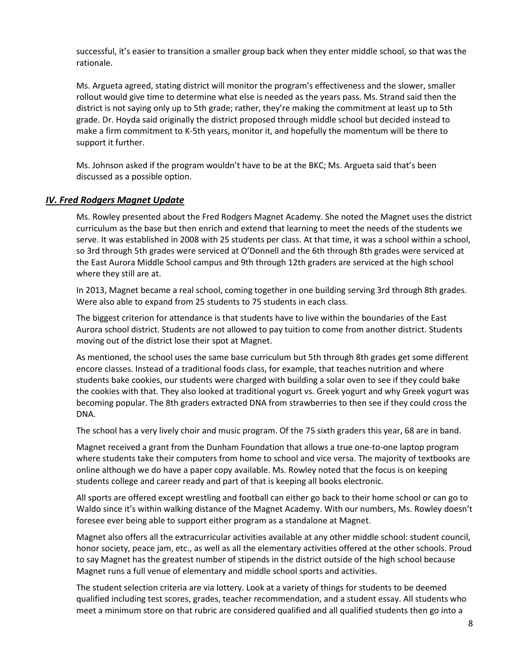successful, it's easier to transition a smaller group back when they enter middle school, so that was the rationale.

Ms. Argueta agreed, stating district will monitor the program's effectiveness and the slower, smaller rollout would give time to determine what else is needed as the years pass. Ms. Strand said then the district is not saying only up to 5th grade; rather, they're making the commitment at least up to 5th grade. Dr. Hoyda said originally the district proposed through middle school but decided instead to make a firm commitment to K-5th years, monitor it, and hopefully the momentum will be there to support it further.

Ms. Johnson asked if the program wouldn't have to be at the BKC; Ms. Argueta said that's been discussed as a possible option.

## *IV. Fred Rodgers Magnet Update*

Ms. Rowley presented about the Fred Rodgers Magnet Academy. She noted the Magnet uses the district curriculum as the base but then enrich and extend that learning to meet the needs of the students we serve. It was established in 2008 with 25 students per class. At that time, it was a school within a school, so 3rd through 5th grades were serviced at O'Donnell and the 6th through 8th grades were serviced at the East Aurora Middle School campus and 9th through 12th graders are serviced at the high school where they still are at.

In 2013, Magnet became a real school, coming together in one building serving 3rd through 8th grades. Were also able to expand from 25 students to 75 students in each class.

The biggest criterion for attendance is that students have to live within the boundaries of the East Aurora school district. Students are not allowed to pay tuition to come from another district. Students moving out of the district lose their spot at Magnet.

As mentioned, the school uses the same base curriculum but 5th through 8th grades get some different encore classes. Instead of a traditional foods class, for example, that teaches nutrition and where students bake cookies, our students were charged with building a solar oven to see if they could bake the cookies with that. They also looked at traditional yogurt vs. Greek yogurt and why Greek yogurt was becoming popular. The 8th graders extracted DNA from strawberries to then see if they could cross the DNA.

The school has a very lively choir and music program. Of the 75 sixth graders this year, 68 are in band.

Magnet received a grant from the Dunham Foundation that allows a true one-to-one laptop program where students take their computers from home to school and vice versa. The majority of textbooks are online although we do have a paper copy available. Ms. Rowley noted that the focus is on keeping students college and career ready and part of that is keeping all books electronic.

All sports are offered except wrestling and football can either go back to their home school or can go to Waldo since it's within walking distance of the Magnet Academy. With our numbers, Ms. Rowley doesn't foresee ever being able to support either program as a standalone at Magnet.

Magnet also offers all the extracurricular activities available at any other middle school: student council, honor society, peace jam, etc., as well as all the elementary activities offered at the other schools. Proud to say Magnet has the greatest number of stipends in the district outside of the high school because Magnet runs a full venue of elementary and middle school sports and activities.

The student selection criteria are via lottery. Look at a variety of things for students to be deemed qualified including test scores, grades, teacher recommendation, and a student essay. All students who meet a minimum store on that rubric are considered qualified and all qualified students then go into a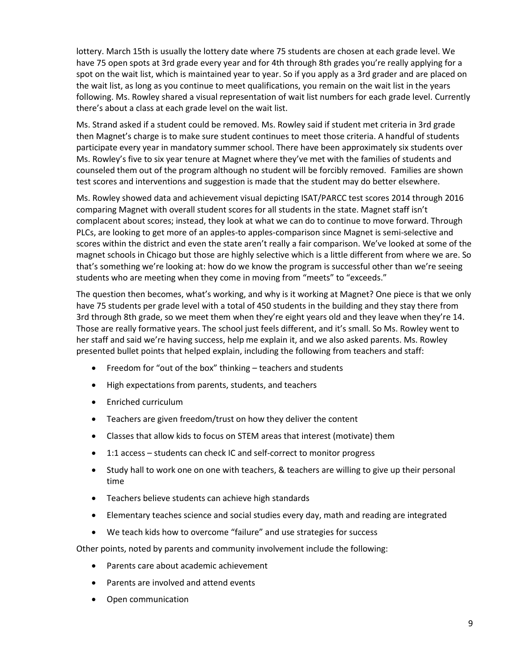lottery. March 15th is usually the lottery date where 75 students are chosen at each grade level. We have 75 open spots at 3rd grade every year and for 4th through 8th grades you're really applying for a spot on the wait list, which is maintained year to year. So if you apply as a 3rd grader and are placed on the wait list, as long as you continue to meet qualifications, you remain on the wait list in the years following. Ms. Rowley shared a visual representation of wait list numbers for each grade level. Currently there's about a class at each grade level on the wait list.

Ms. Strand asked if a student could be removed. Ms. Rowley said if student met criteria in 3rd grade then Magnet's charge is to make sure student continues to meet those criteria. A handful of students participate every year in mandatory summer school. There have been approximately six students over Ms. Rowley's five to six year tenure at Magnet where they've met with the families of students and counseled them out of the program although no student will be forcibly removed. Families are shown test scores and interventions and suggestion is made that the student may do better elsewhere.

Ms. Rowley showed data and achievement visual depicting ISAT/PARCC test scores 2014 through 2016 comparing Magnet with overall student scores for all students in the state. Magnet staff isn't complacent about scores; instead, they look at what we can do to continue to move forward. Through PLCs, are looking to get more of an apples-to apples-comparison since Magnet is semi-selective and scores within the district and even the state aren't really a fair comparison. We've looked at some of the magnet schools in Chicago but those are highly selective which is a little different from where we are. So that's something we're looking at: how do we know the program is successful other than we're seeing students who are meeting when they come in moving from "meets" to "exceeds."

The question then becomes, what's working, and why is it working at Magnet? One piece is that we only have 75 students per grade level with a total of 450 students in the building and they stay there from 3rd through 8th grade, so we meet them when they're eight years old and they leave when they're 14. Those are really formative years. The school just feels different, and it's small. So Ms. Rowley went to her staff and said we're having success, help me explain it, and we also asked parents. Ms. Rowley presented bullet points that helped explain, including the following from teachers and staff:

- Freedom for "out of the box" thinking teachers and students
- High expectations from parents, students, and teachers
- Enriched curriculum
- Teachers are given freedom/trust on how they deliver the content
- Classes that allow kids to focus on STEM areas that interest (motivate) them
- 1:1 access students can check IC and self-correct to monitor progress
- Study hall to work one on one with teachers, & teachers are willing to give up their personal time
- Teachers believe students can achieve high standards
- Elementary teaches science and social studies every day, math and reading are integrated
- We teach kids how to overcome "failure" and use strategies for success

Other points, noted by parents and community involvement include the following:

- Parents care about academic achievement
- Parents are involved and attend events
- Open communication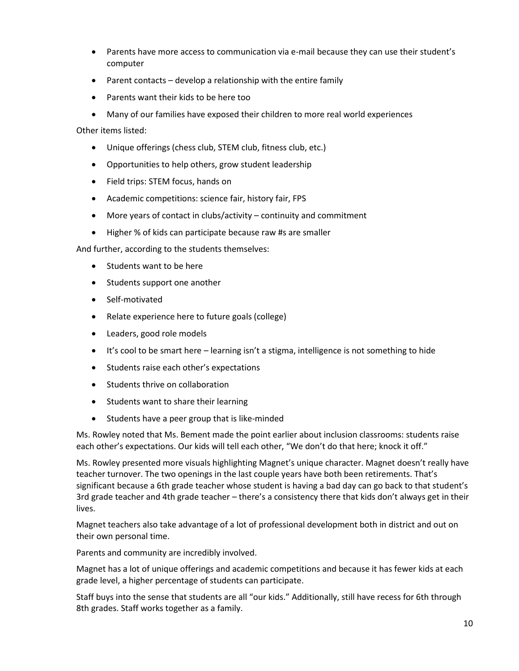- Parents have more access to communication via e-mail because they can use their student's computer
- Parent contacts develop a relationship with the entire family
- Parents want their kids to be here too
- Many of our families have exposed their children to more real world experiences

Other items listed:

- Unique offerings (chess club, STEM club, fitness club, etc.)
- Opportunities to help others, grow student leadership
- Field trips: STEM focus, hands on
- Academic competitions: science fair, history fair, FPS
- More years of contact in clubs/activity continuity and commitment
- Higher % of kids can participate because raw #s are smaller

And further, according to the students themselves:

- Students want to be here
- Students support one another
- Self-motivated
- Relate experience here to future goals (college)
- Leaders, good role models
- It's cool to be smart here learning isn't a stigma, intelligence is not something to hide
- Students raise each other's expectations
- Students thrive on collaboration
- Students want to share their learning
- Students have a peer group that is like-minded

Ms. Rowley noted that Ms. Bement made the point earlier about inclusion classrooms: students raise each other's expectations. Our kids will tell each other, "We don't do that here; knock it off."

Ms. Rowley presented more visuals highlighting Magnet's unique character. Magnet doesn't really have teacher turnover. The two openings in the last couple years have both been retirements. That's significant because a 6th grade teacher whose student is having a bad day can go back to that student's 3rd grade teacher and 4th grade teacher – there's a consistency there that kids don't always get in their lives.

Magnet teachers also take advantage of a lot of professional development both in district and out on their own personal time.

Parents and community are incredibly involved.

Magnet has a lot of unique offerings and academic competitions and because it has fewer kids at each grade level, a higher percentage of students can participate.

Staff buys into the sense that students are all "our kids." Additionally, still have recess for 6th through 8th grades. Staff works together as a family.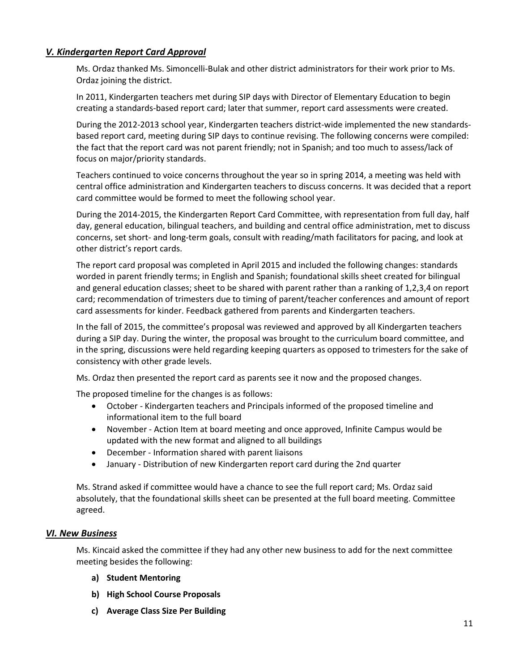## *V. Kindergarten Report Card Approval*

Ms. Ordaz thanked Ms. Simoncelli-Bulak and other district administrators for their work prior to Ms. Ordaz joining the district.

In 2011, Kindergarten teachers met during SIP days with Director of Elementary Education to begin creating a standards-based report card; later that summer, report card assessments were created.

During the 2012-2013 school year, Kindergarten teachers district-wide implemented the new standardsbased report card, meeting during SIP days to continue revising. The following concerns were compiled: the fact that the report card was not parent friendly; not in Spanish; and too much to assess/lack of focus on major/priority standards.

Teachers continued to voice concerns throughout the year so in spring 2014, a meeting was held with central office administration and Kindergarten teachers to discuss concerns. It was decided that a report card committee would be formed to meet the following school year.

During the 2014-2015, the Kindergarten Report Card Committee, with representation from full day, half day, general education, bilingual teachers, and building and central office administration, met to discuss concerns, set short- and long-term goals, consult with reading/math facilitators for pacing, and look at other district's report cards.

The report card proposal was completed in April 2015 and included the following changes: standards worded in parent friendly terms; in English and Spanish; foundational skills sheet created for bilingual and general education classes; sheet to be shared with parent rather than a ranking of 1,2,3,4 on report card; recommendation of trimesters due to timing of parent/teacher conferences and amount of report card assessments for kinder. Feedback gathered from parents and Kindergarten teachers.

In the fall of 2015, the committee's proposal was reviewed and approved by all Kindergarten teachers during a SIP day. During the winter, the proposal was brought to the curriculum board committee, and in the spring, discussions were held regarding keeping quarters as opposed to trimesters for the sake of consistency with other grade levels.

Ms. Ordaz then presented the report card as parents see it now and the proposed changes.

The proposed timeline for the changes is as follows:

- October Kindergarten teachers and Principals informed of the proposed timeline and informational item to the full board
- November Action Item at board meeting and once approved, Infinite Campus would be updated with the new format and aligned to all buildings
- December Information shared with parent liaisons
- January Distribution of new Kindergarten report card during the 2nd quarter

Ms. Strand asked if committee would have a chance to see the full report card; Ms. Ordaz said absolutely, that the foundational skills sheet can be presented at the full board meeting. Committee agreed.

## *VI. New Business*

Ms. Kincaid asked the committee if they had any other new business to add for the next committee meeting besides the following:

- **a) Student Mentoring**
- **b) High School Course Proposals**
- **c) Average Class Size Per Building**